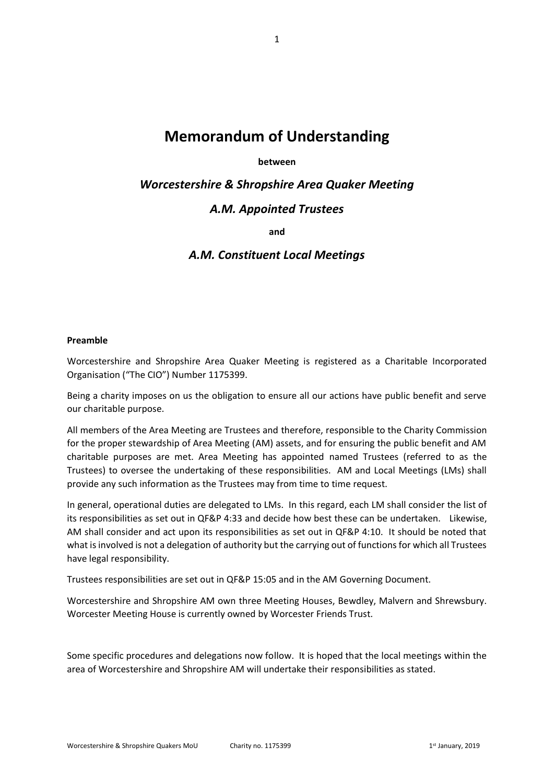# **Memorandum of Understanding**

# **between**

*Worcestershire & Shropshire Area Quaker Meeting*

# *A.M. Appointed Trustees*

**and**

# *A.M. Constituent Local Meetings*

#### **Preamble**

Worcestershire and Shropshire Area Quaker Meeting is registered as a Charitable Incorporated Organisation ("The CIO") Number 1175399.

Being a charity imposes on us the obligation to ensure all our actions have public benefit and serve our charitable purpose.

All members of the Area Meeting are Trustees and therefore, responsible to the Charity Commission for the proper stewardship of Area Meeting (AM) assets, and for ensuring the public benefit and AM charitable purposes are met. Area Meeting has appointed named Trustees (referred to as the Trustees) to oversee the undertaking of these responsibilities. AM and Local Meetings (LMs) shall provide any such information as the Trustees may from time to time request.

In general, operational duties are delegated to LMs. In this regard, each LM shall consider the list of its responsibilities as set out in QF&P 4:33 and decide how best these can be undertaken. Likewise, AM shall consider and act upon its responsibilities as set out in QF&P 4:10. It should be noted that what is involved is not a delegation of authority but the carrying out of functions for which all Trustees have legal responsibility.

Trustees responsibilities are set out in QF&P 15:05 and in the AM Governing Document.

Worcestershire and Shropshire AM own three Meeting Houses, Bewdley, Malvern and Shrewsbury. Worcester Meeting House is currently owned by Worcester Friends Trust.

Some specific procedures and delegations now follow. It is hoped that the local meetings within the area of Worcestershire and Shropshire AM will undertake their responsibilities as stated.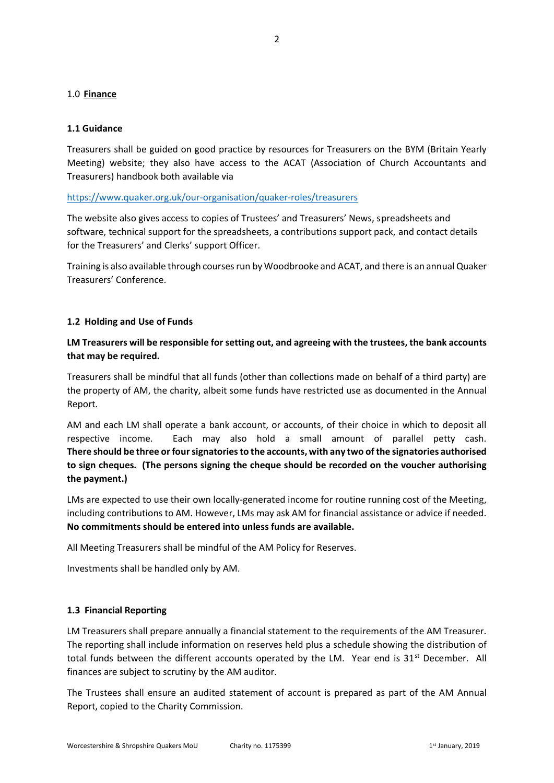# 1.0 **Finance**

# **1.1 Guidance**

Treasurers shall be guided on good practice by resources for Treasurers on the BYM (Britain Yearly Meeting) website; they also have access to the ACAT (Association of Church Accountants and Treasurers) handbook both available via

# <https://www.quaker.org.uk/our-organisation/quaker-roles/treasurers>

The website also gives access to copies of Trustees' and Treasurers' News, spreadsheets and software, technical support for the spreadsheets, a contributions support pack, and contact details for the Treasurers' and Clerks' support Officer.

Training is also available through courses run by Woodbrooke and ACAT, and there is an annual Quaker Treasurers' Conference.

# **1.2 Holding and Use of Funds**

# **LM Treasurers will be responsible for setting out, and agreeing with the trustees, the bank accounts that may be required.**

Treasurers shall be mindful that all funds (other than collections made on behalf of a third party) are the property of AM, the charity, albeit some funds have restricted use as documented in the Annual Report.

AM and each LM shall operate a bank account, or accounts, of their choice in which to deposit all respective income. Each may also hold a small amount of parallel petty cash. **There should be three or four signatories to the accounts, with any two of the signatories authorised to sign cheques. (The persons signing the cheque should be recorded on the voucher authorising the payment.)**

LMs are expected to use their own locally-generated income for routine running cost of the Meeting, including contributions to AM. However, LMs may ask AM for financial assistance or advice if needed. **No commitments should be entered into unless funds are available.**

All Meeting Treasurers shall be mindful of the AM Policy for Reserves.

Investments shall be handled only by AM.

# **1.3 Financial Reporting**

LM Treasurers shall prepare annually a financial statement to the requirements of the AM Treasurer. The reporting shall include information on reserves held plus a schedule showing the distribution of total funds between the different accounts operated by the LM. Year end is  $31<sup>st</sup>$  December. All finances are subject to scrutiny by the AM auditor.

The Trustees shall ensure an audited statement of account is prepared as part of the AM Annual Report, copied to the Charity Commission.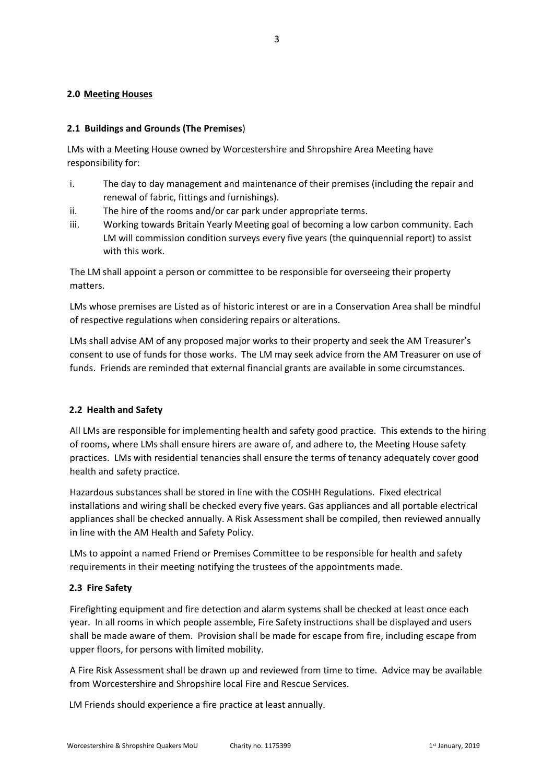# **2.0 Meeting Houses**

# **2.1 Buildings and Grounds (The Premises**)

LMs with a Meeting House owned by Worcestershire and Shropshire Area Meeting have responsibility for:

- i. The day to day management and maintenance of their premises (including the repair and renewal of fabric, fittings and furnishings).
- ii. The hire of the rooms and/or car park under appropriate terms.
- iii. Working towards Britain Yearly Meeting goal of becoming a low carbon community. Each LM will commission condition surveys every five years (the quinquennial report) to assist with this work.

The LM shall appoint a person or committee to be responsible for overseeing their property matters.

LMs whose premises are Listed as of historic interest or are in a Conservation Area shall be mindful of respective regulations when considering repairs or alterations.

LMs shall advise AM of any proposed major works to their property and seek the AM Treasurer's consent to use of funds for those works. The LM may seek advice from the AM Treasurer on use of funds. Friends are reminded that external financial grants are available in some circumstances.

# **2.2 Health and Safety**

All LMs are responsible for implementing health and safety good practice. This extends to the hiring of rooms, where LMs shall ensure hirers are aware of, and adhere to, the Meeting House safety practices. LMs with residential tenancies shall ensure the terms of tenancy adequately cover good health and safety practice.

Hazardous substances shall be stored in line with the COSHH Regulations. Fixed electrical installations and wiring shall be checked every five years. Gas appliances and all portable electrical appliances shall be checked annually. A Risk Assessment shall be compiled, then reviewed annually in line with the AM Health and Safety Policy.

LMs to appoint a named Friend or Premises Committee to be responsible for health and safety requirements in their meeting notifying the trustees of the appointments made.

# **2.3 Fire Safety**

Firefighting equipment and fire detection and alarm systems shall be checked at least once each year. In all rooms in which people assemble, Fire Safety instructions shall be displayed and users shall be made aware of them. Provision shall be made for escape from fire, including escape from upper floors, for persons with limited mobility.

A Fire Risk Assessment shall be drawn up and reviewed from time to time. Advice may be available from Worcestershire and Shropshire local Fire and Rescue Services.

LM Friends should experience a fire practice at least annually.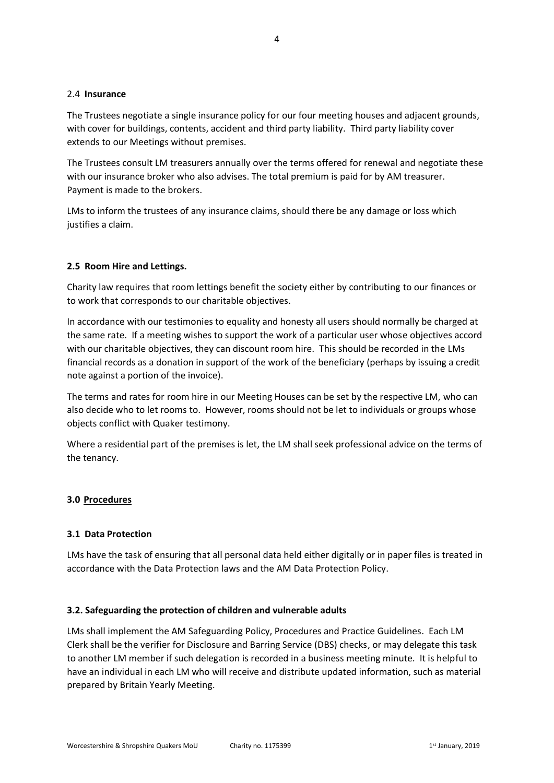#### 2.4 **Insurance**

The Trustees negotiate a single insurance policy for our four meeting houses and adjacent grounds, with cover for buildings, contents, accident and third party liability. Third party liability cover extends to our Meetings without premises.

The Trustees consult LM treasurers annually over the terms offered for renewal and negotiate these with our insurance broker who also advises. The total premium is paid for by AM treasurer. Payment is made to the brokers.

LMs to inform the trustees of any insurance claims, should there be any damage or loss which justifies a claim.

#### **2.5 Room Hire and Lettings.**

Charity law requires that room lettings benefit the society either by contributing to our finances or to work that corresponds to our charitable objectives.

In accordance with our testimonies to equality and honesty all users should normally be charged at the same rate. If a meeting wishes to support the work of a particular user whose objectives accord with our charitable objectives, they can discount room hire. This should be recorded in the LMs financial records as a donation in support of the work of the beneficiary (perhaps by issuing a credit note against a portion of the invoice).

The terms and rates for room hire in our Meeting Houses can be set by the respective LM, who can also decide who to let rooms to. However, rooms should not be let to individuals or groups whose objects conflict with Quaker testimony.

Where a residential part of the premises is let, the LM shall seek professional advice on the terms of the tenancy.

#### **3.0 Procedures**

#### **3.1 Data Protection**

LMs have the task of ensuring that all personal data held either digitally or in paper files is treated in accordance with the Data Protection laws and the AM Data Protection Policy.

#### **3.2. Safeguarding the protection of children and vulnerable adults**

LMs shall implement the AM Safeguarding Policy, Procedures and Practice Guidelines. Each LM Clerk shall be the verifier for Disclosure and Barring Service (DBS) checks, or may delegate this task to another LM member if such delegation is recorded in a business meeting minute. It is helpful to have an individual in each LM who will receive and distribute updated information, such as material prepared by Britain Yearly Meeting.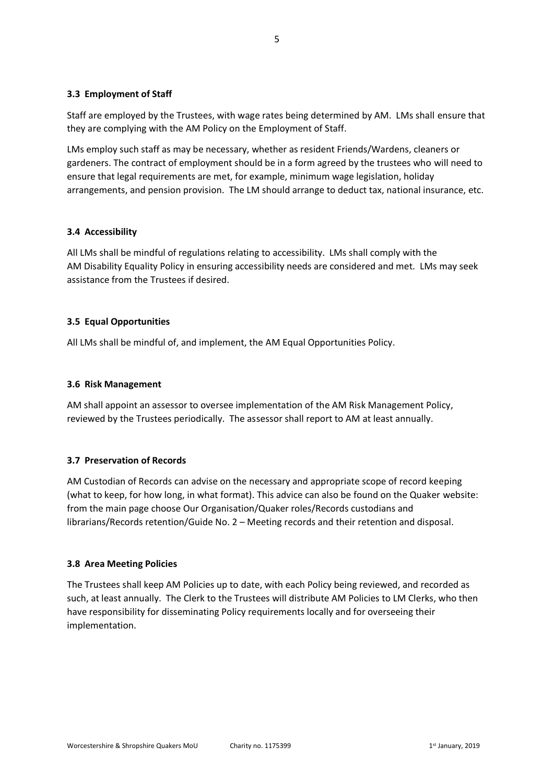# **3.3 Employment of Staff**

Staff are employed by the Trustees, with wage rates being determined by AM. LMs shall ensure that they are complying with the AM Policy on the Employment of Staff.

LMs employ such staff as may be necessary, whether as resident Friends/Wardens, cleaners or gardeners. The contract of employment should be in a form agreed by the trustees who will need to ensure that legal requirements are met, for example, minimum wage legislation, holiday arrangements, and pension provision. The LM should arrange to deduct tax, national insurance, etc.

# **3.4 Accessibility**

All LMs shall be mindful of regulations relating to accessibility. LMs shall comply with the AM Disability Equality Policy in ensuring accessibility needs are considered and met. LMs may seek assistance from the Trustees if desired.

# **3.5 Equal Opportunities**

All LMs shall be mindful of, and implement, the AM Equal Opportunities Policy.

# **3.6 Risk Management**

AM shall appoint an assessor to oversee implementation of the AM Risk Management Policy, reviewed by the Trustees periodically. The assessor shall report to AM at least annually.

# **3.7 Preservation of Records**

AM Custodian of Records can advise on the necessary and appropriate scope of record keeping (what to keep, for how long, in what format). This advice can also be found on the Quaker website: from the main page choose Our Organisation/Quaker roles/Records custodians and librarians/Records retention/Guide No. 2 – Meeting records and their retention and disposal.

# **3.8 Area Meeting Policies**

The Trustees shall keep AM Policies up to date, with each Policy being reviewed, and recorded as such, at least annually. The Clerk to the Trustees will distribute AM Policies to LM Clerks, who then have responsibility for disseminating Policy requirements locally and for overseeing their implementation.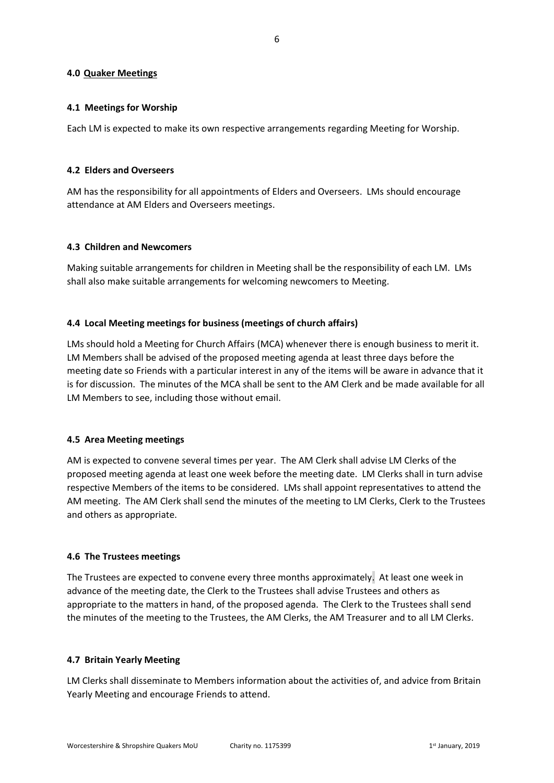#### **4.0 Quaker Meetings**

#### **4.1 Meetings for Worship**

Each LM is expected to make its own respective arrangements regarding Meeting for Worship.

#### **4.2 Elders and Overseers**

AM has the responsibility for all appointments of Elders and Overseers. LMs should encourage attendance at AM Elders and Overseers meetings.

#### **4.3 Children and Newcomers**

Making suitable arrangements for children in Meeting shall be the responsibility of each LM. LMs shall also make suitable arrangements for welcoming newcomers to Meeting.

#### **4.4 Local Meeting meetings for business (meetings of church affairs)**

LMs should hold a Meeting for Church Affairs (MCA) whenever there is enough business to merit it. LM Members shall be advised of the proposed meeting agenda at least three days before the meeting date so Friends with a particular interest in any of the items will be aware in advance that it is for discussion. The minutes of the MCA shall be sent to the AM Clerk and be made available for all LM Members to see, including those without email.

# **4.5 Area Meeting meetings**

AM is expected to convene several times per year. The AM Clerk shall advise LM Clerks of the proposed meeting agenda at least one week before the meeting date. LM Clerks shall in turn advise respective Members of the items to be considered. LMs shall appoint representatives to attend the AM meeting. The AM Clerk shall send the minutes of the meeting to LM Clerks, Clerk to the Trustees and others as appropriate.

#### **4.6 The Trustees meetings**

The Trustees are expected to convene every three months approximately. At least one week in advance of the meeting date, the Clerk to the Trustees shall advise Trustees and others as appropriate to the matters in hand, of the proposed agenda. The Clerk to the Trustees shall send the minutes of the meeting to the Trustees, the AM Clerks, the AM Treasurer and to all LM Clerks.

#### **4.7 Britain Yearly Meeting**

LM Clerks shall disseminate to Members information about the activities of, and advice from Britain Yearly Meeting and encourage Friends to attend.